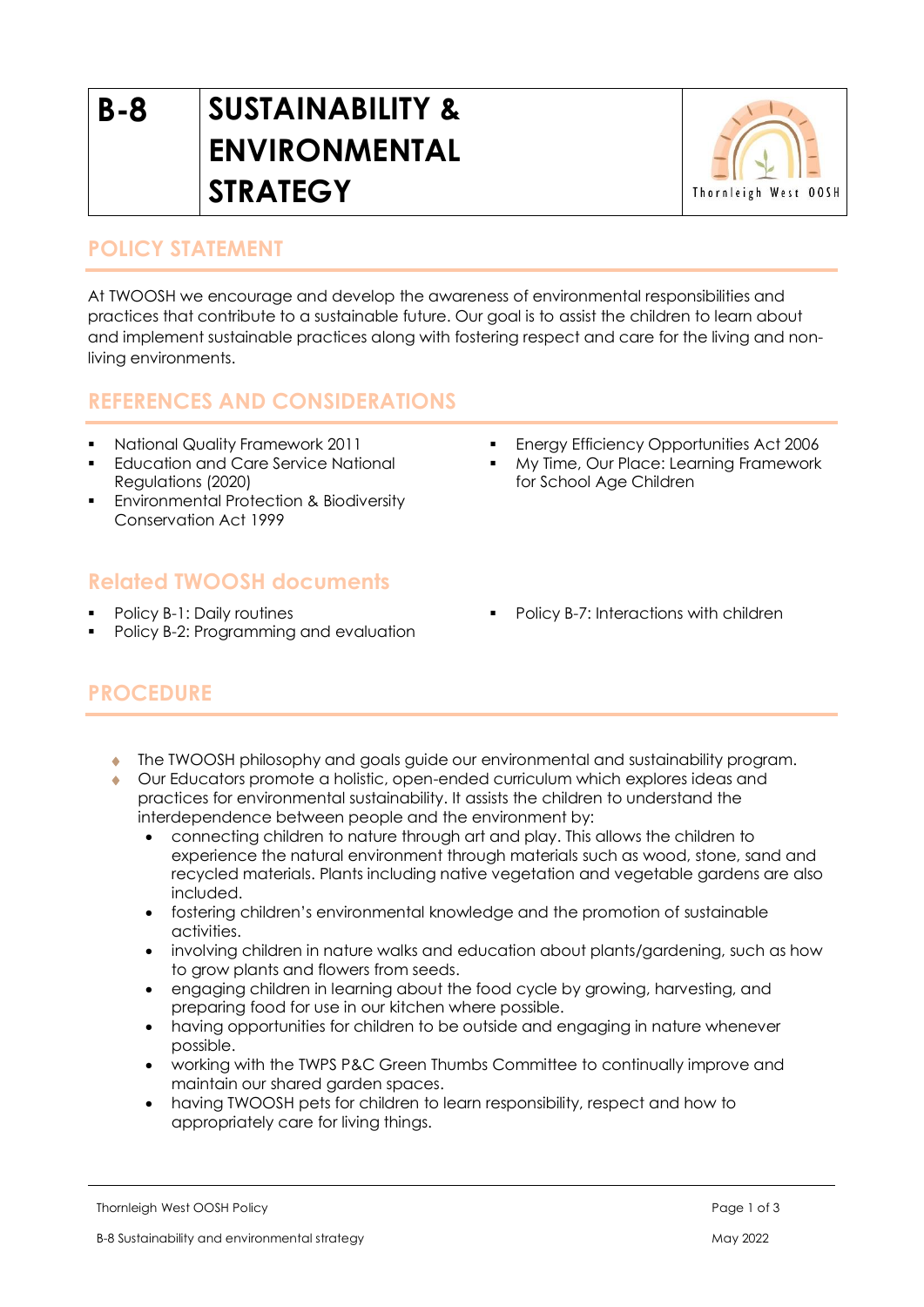# **B-8 SUSTAINABILITY & ENVIRONMENTAL STRATEGY**



## **POLICY STATEMENT**

At TWOOSH we encourage and develop the awareness of environmental responsibilities and practices that contribute to a sustainable future. Our goal is to assist the children to learn about and implement sustainable practices along with fostering respect and care for the living and nonliving environments.

## **REFERENCES AND CONSIDERATIONS**

- National Quality Framework 2011
- **Education and Care Service National** Regulations (2020)
- **Environmental Protection & Biodiversity** Conservation Act 1999

## **Related TWOOSH documents**

- Policy B-1: Daily routines
- Policy B-2: Programming and evaluation
- **Energy Efficiency Opportunities Act 2006**
- My Time, Our Place: Learning Framework for School Age Children
- Policy B-7: Interactions with children

# **PROCEDURE**

- The TWOOSH philosophy and goals guide our environmental and sustainability program.
- Our Educators promote a holistic, open-ended curriculum which explores ideas and practices for environmental sustainability. It assists the children to understand the interdependence between people and the environment by:
	- connecting children to nature through art and play. This allows the children to experience the natural environment through materials such as wood, stone, sand and recycled materials. Plants including native vegetation and vegetable gardens are also included.
	- fostering children's environmental knowledge and the promotion of sustainable activities.
	- involving children in nature walks and education about plants/gardening, such as how to grow plants and flowers from seeds.
	- engaging children in learning about the food cycle by growing, harvesting, and preparing food for use in our kitchen where possible.
	- having opportunities for children to be outside and engaging in nature whenever possible.
	- working with the TWPS P&C Green Thumbs Committee to continually improve and maintain our shared garden spaces.
	- having TWOOSH pets for children to learn responsibility, respect and how to appropriately care for living things.

Thornleigh West OOSH Policy **Page 1 of 3** and 2 of 3 and 2 of 3 and 2 of 3 and 2 of 3 and 2 of 3 and 2 of 3 and 2 of 3 and 2 of 3 and 2 of 3 and 2 of 3 and 2 of 3 and 2 of 3 and 2 of 3 and 2 of 3 and 2 of 3 and 2 of 3 and